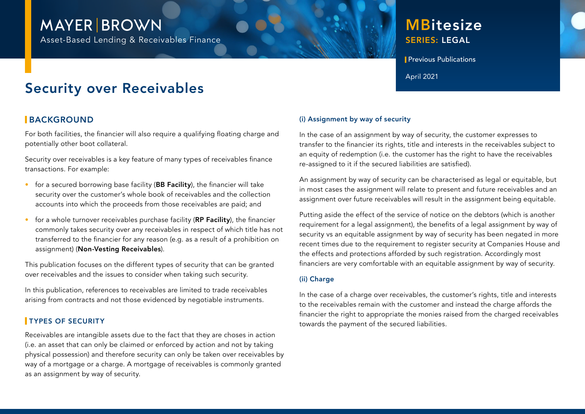# **MAYER BROWN**

Asset-Based Lending & Receivables Finance

## **MBitesize** SERIES: LEGAL

**Previous Publications** 

April 2021

## Security over Receivables

## **BACKGROUND**

For both facilities, the financier will also require a qualifying floating charge and potentially other boot collateral.

Security over receivables is a key feature of many types of receivables finance transactions. For example:

- for a secured borrowing base facility (BB Facility), the financier will take security over the customer's whole book of receivables and the collection accounts into which the proceeds from those receivables are paid; and
- for a whole turnover receivables purchase facility (RP Facility), the financier commonly takes security over any receivables in respect of which title has not transferred to the financier for any reason (e.g. as a result of a prohibition on assignment) (Non-Vesting Receivables).

This publication focuses on the different types of security that can be granted over receivables and the issues to consider when taking such security.

In this publication, references to receivables are limited to trade receivables arising from contracts and not those evidenced by negotiable instruments.

### **TYPES OF SECURITY**

Receivables are intangible assets due to the fact that they are choses in action (i.e. an asset that can only be claimed or enforced by action and not by taking physical possession) and therefore security can only be taken over receivables by way of a mortgage or a charge. A mortgage of receivables is commonly granted as an assignment by way of security.

#### (i) Assignment by way of security

In the case of an assignment by way of security, the customer expresses to transfer to the financier its rights, title and interests in the receivables subject to an equity of redemption (i.e. the customer has the right to have the receivables re-assigned to it if the secured liabilities are satisfied).

An assignment by way of security can be characterised as legal or equitable, but in most cases the assignment will relate to present and future receivables and an assignment over future receivables will result in the assignment being equitable.

Putting aside the effect of the service of notice on the debtors (which is another requirement for a legal assignment), the benefits of a legal assignment by way of security vs an equitable assignment by way of security has been negated in more recent times due to the requirement to register security at Companies House and the effects and protections afforded by such registration. Accordingly most financiers are very comfortable with an equitable assignment by way of security.

#### (ii) Charge

In the case of a charge over receivables, the customer's rights, title and interests to the receivables remain with the customer and instead the charge affords the financier the right to appropriate the monies raised from the charged receivables towards the payment of the secured liabilities.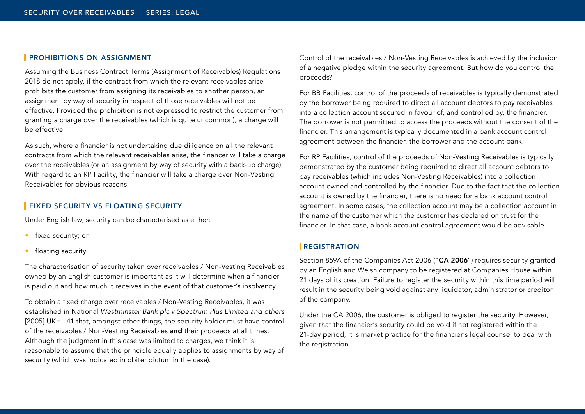#### **PROHIBITIONS ON ASSIGNMENT**

Assuming the Business Contract Terms (Assignment of Receivables) Regulations 2018 do not apply, if the contract from which the relevant receivables arise prohibits the customer from assigning its receivables to another person, an assignment by way of security in respect of those receivables will not be effective. Provided the prohibition is not expressed to restrict the customer from granting a charge over the receivables (which is quite uncommon), a charge will be effective.

As such, where a financier is not undertaking due diligence on all the relevant contracts from which the relevant receivables arise, the financer will take a charge over the receivables (or an assignment by way of security with a back-up charge). With regard to an RP Facility, the financier will take a charge over Non-Vesting Receivables for obvious reasons.

#### **FIXED SECURITY VS FLOATING SECURITY**

Under English law, security can be characterised as either:

- fixed security; or
- floating security.

The characterisation of security taken over receivables / Non-Vesting Receivables owned by an English customer is important as it will determine when a financier is paid out and how much it receives in the event of that customer's insolvency.

To obtain a fixed charge over receivables / Non-Vesting Receivables, it was established in National *Westminster Bank plc v Spectrum Plus Limited and others*  [2005] UKHL 41 that, amongst other things, the security holder must have control of the receivables / Non-Vesting Receivables and their proceeds at all times. Although the judgment in this case was limited to charges, we think it is reasonable to assume that the principle equally applies to assignments by way of security (which was indicated in obiter dictum in the case).

Control of the receivables / Non-Vesting Receivables is achieved by the inclusion of a negative pledge within the security agreement. But how do you control the proceeds?

For BB Facilities, control of the proceeds of receivables is typically demonstrated by the borrower being required to direct all account debtors to pay receivables into a collection account secured in favour of, and controlled by, the financier. The borrower is not permitted to access the proceeds without the consent of the financier. This arrangement is typically documented in a bank account control agreement between the financier, the borrower and the account bank.

For RP Facilities, control of the proceeds of Non-Vesting Receivables is typically demonstrated by the customer being required to direct all account debtors to pay receivables (which includes Non-Vesting Receivables) into a collection account owned and controlled by the financier. Due to the fact that the collection account is owned by the financier, there is no need for a bank account control agreement. In some cases, the collection account may be a collection account in the name of the customer which the customer has declared on trust for the financier. In that case, a bank account control agreement would be advisable.

#### **REGISTRATION**

Section 859A of the Companies Act 2006 ("CA 2006") requires security granted by an English and Welsh company to be registered at Companies House within 21 days of its creation. Failure to register the security within this time period will result in the security being void against any liquidator, administrator or creditor of the company.

Under the CA 2006, the customer is obliged to register the security. However, given that the financier's security could be void if not registered within the 21-day period, it is market practice for the financier's legal counsel to deal with the registration.